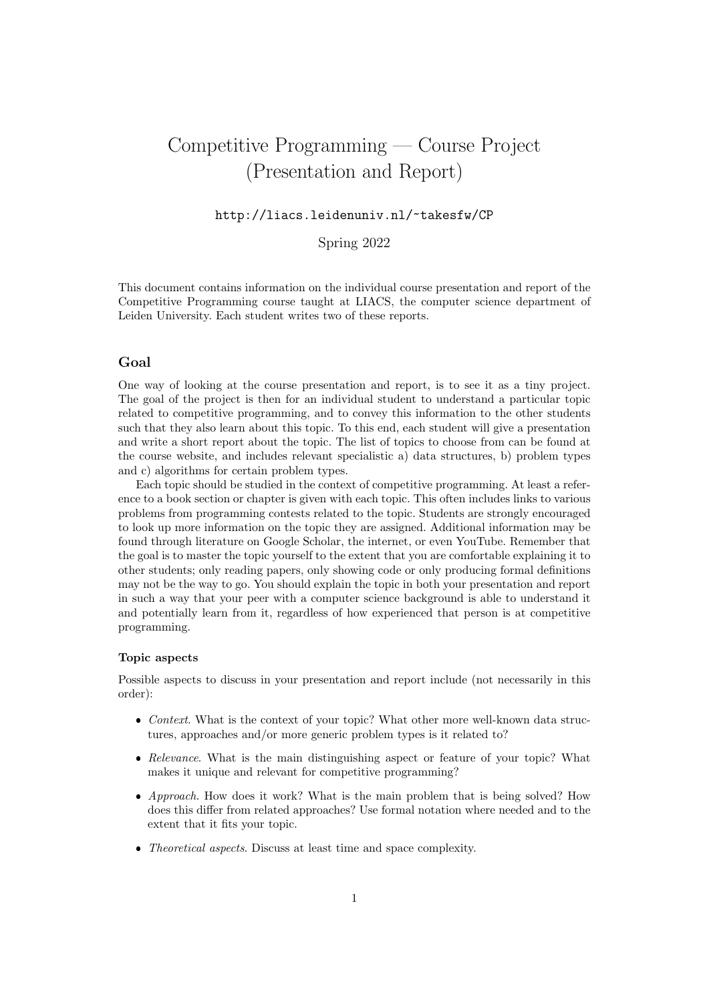# Competitive Programming — Course Project (Presentation and Report)

# http://liacs.leidenuniv.nl/~takesfw/CP

# Spring 2022

This document contains information on the individual course presentation and report of the Competitive Programming course taught at LIACS, the computer science department of Leiden University. Each student writes two of these reports.

## Goal

One way of looking at the course presentation and report, is to see it as a tiny project. The goal of the project is then for an individual student to understand a particular topic related to competitive programming, and to convey this information to the other students such that they also learn about this topic. To this end, each student will give a presentation and write a short report about the topic. The list of topics to choose from can be found at the course website, and includes relevant specialistic a) data structures, b) problem types and c) algorithms for certain problem types.

Each topic should be studied in the context of competitive programming. At least a reference to a book section or chapter is given with each topic. This often includes links to various problems from programming contests related to the topic. Students are strongly encouraged to look up more information on the topic they are assigned. Additional information may be found through literature on Google Scholar, the internet, or even YouTube. Remember that the goal is to master the topic yourself to the extent that you are comfortable explaining it to other students; only reading papers, only showing code or only producing formal definitions may not be the way to go. You should explain the topic in both your presentation and report in such a way that your peer with a computer science background is able to understand it and potentially learn from it, regardless of how experienced that person is at competitive programming.

### Topic aspects

Possible aspects to discuss in your presentation and report include (not necessarily in this order):

- Context. What is the context of your topic? What other more well-known data structures, approaches and/or more generic problem types is it related to?
- Relevance. What is the main distinguishing aspect or feature of your topic? What makes it unique and relevant for competitive programming?
- Approach. How does it work? What is the main problem that is being solved? How does this differ from related approaches? Use formal notation where needed and to the extent that it fits your topic.
- Theoretical aspects. Discuss at least time and space complexity.